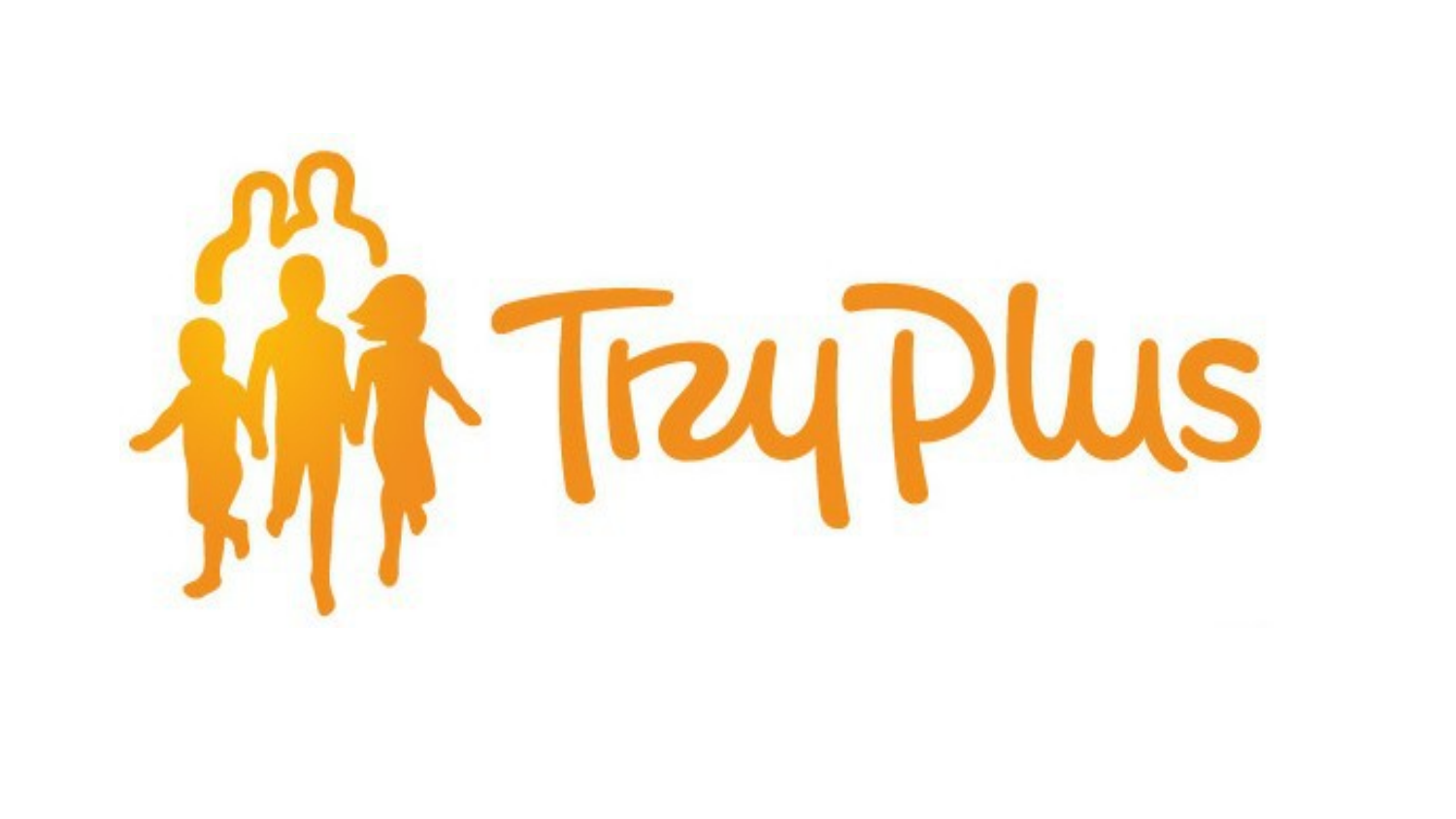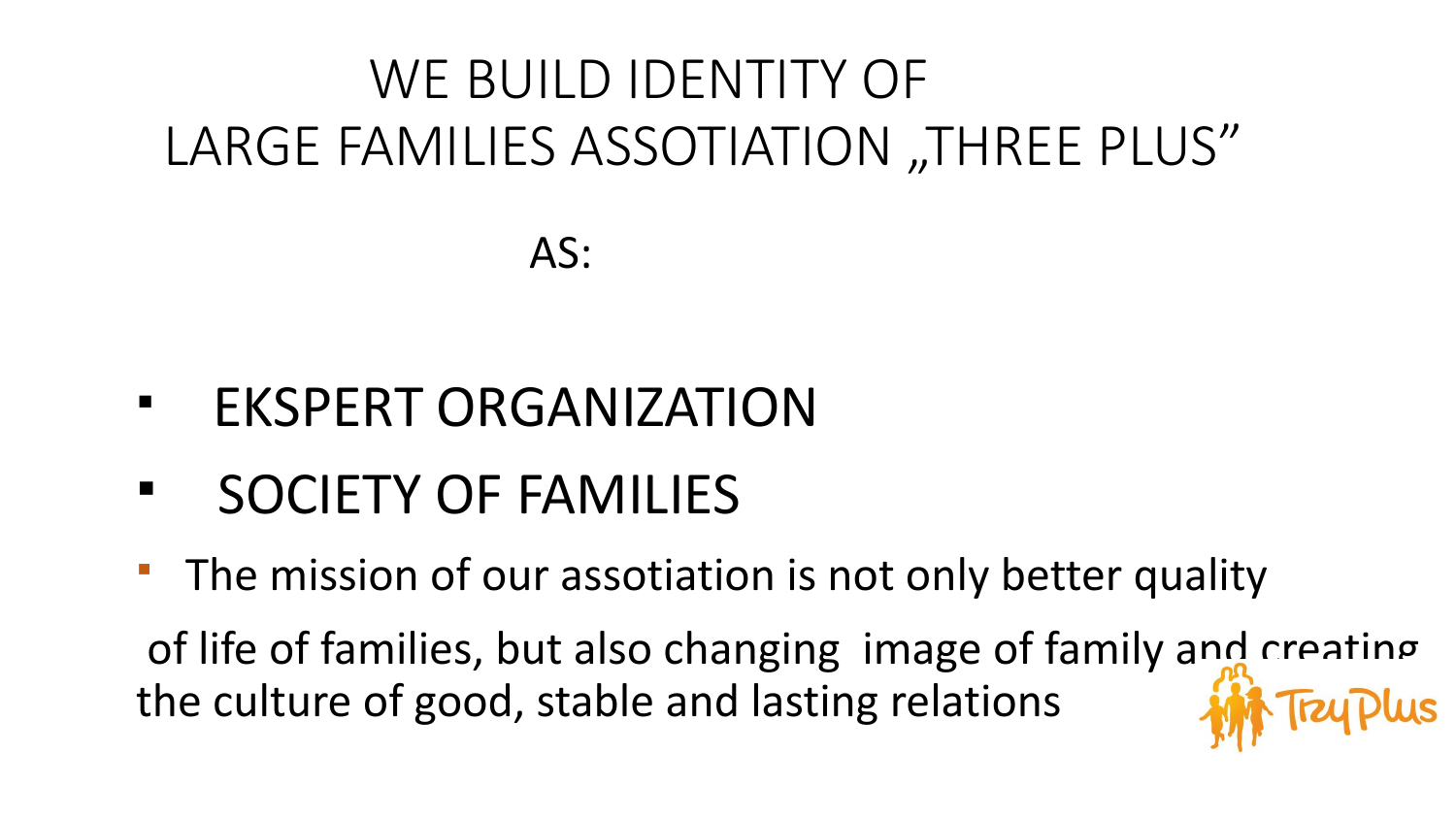## WE BUILD IDENTITY OF LARGE FAMILIES ASSOTIATION "THREE PLUS"

AS:

- § EKSPERT ORGANIZATION
- § SOCIETY OF FAMILIES
- The mission of our assotiation is not only better quality

of life of families, but also changing image of family and creating the culture of good, stable and lasting relations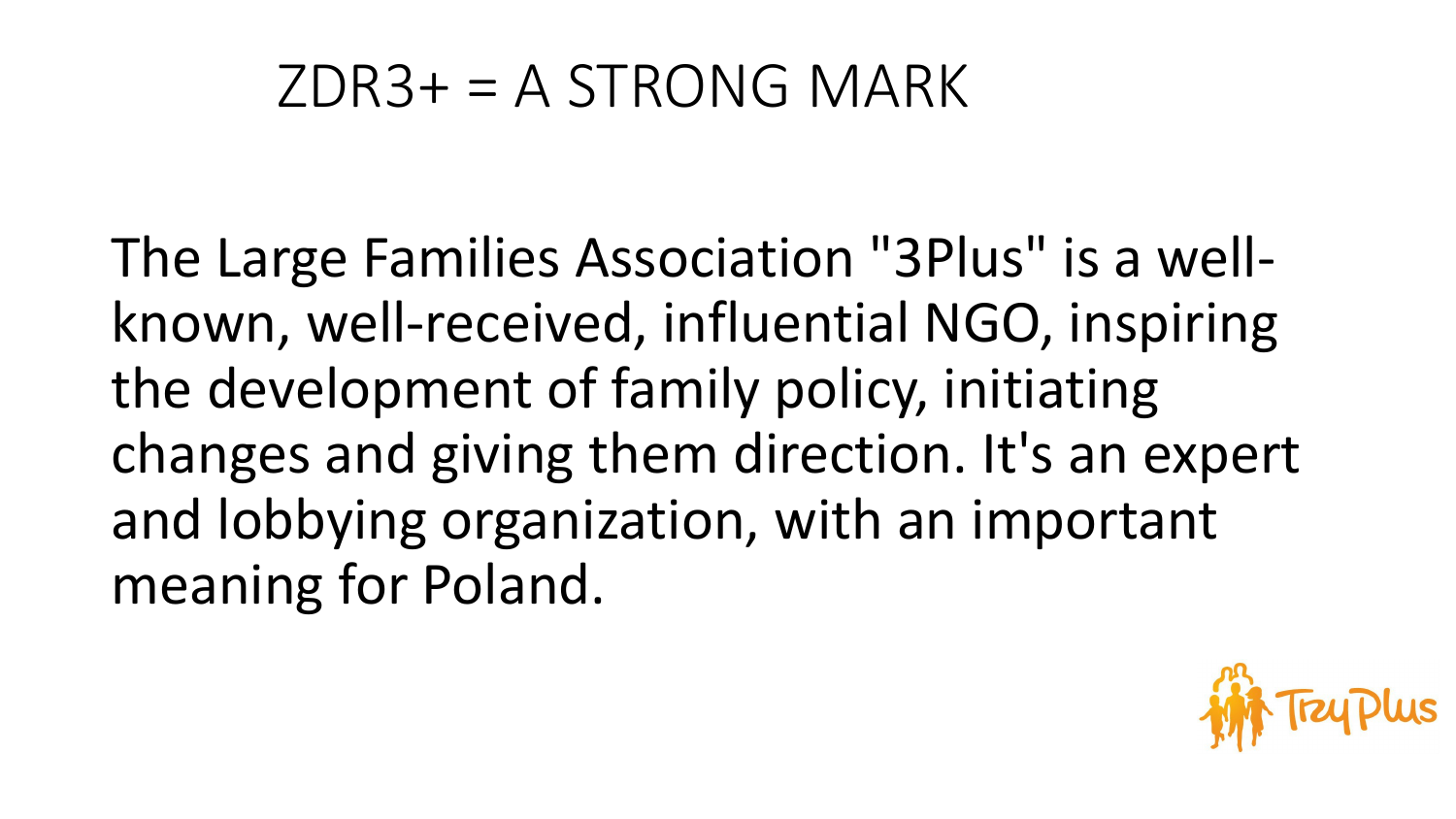### $ZDR3+=A STRONG MARK$

The Large Families Association "3Plus" is a wellknown, well-received, influential NGO, inspiring the development of family policy, initiating changes and giving them direction. It's an expert and lobbying organization, with an important meaning for Poland.

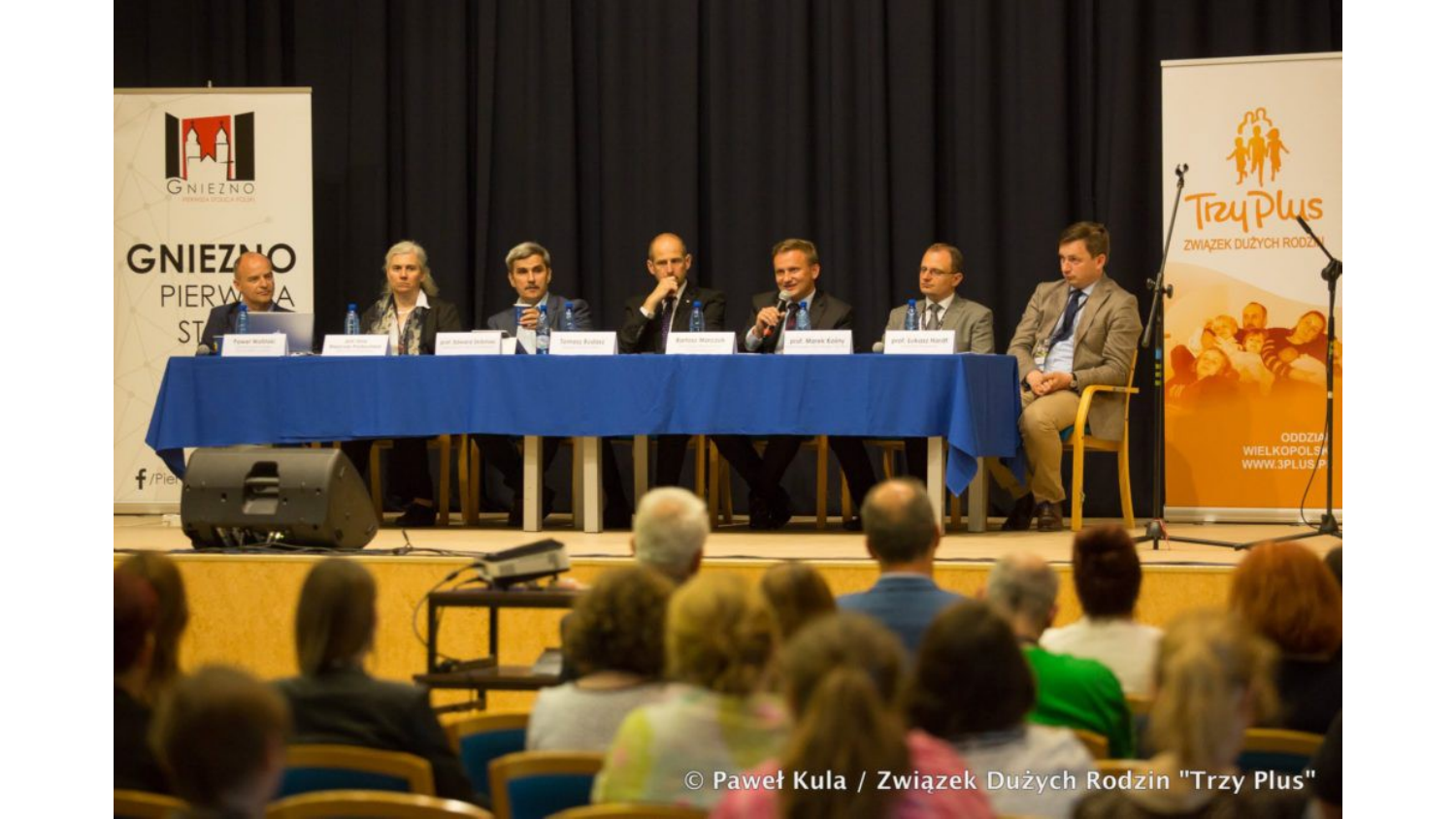© Paweł Kula / Związek Dużych Rodzin "Trzy Plus"

ZWIĄZEK DUŻYCH RO

ODDZ<br>WIELKOPOL:<br>WWW.3PLUS

GNIEZNO

**GNIEZMO** 

f/Pie

PIERW A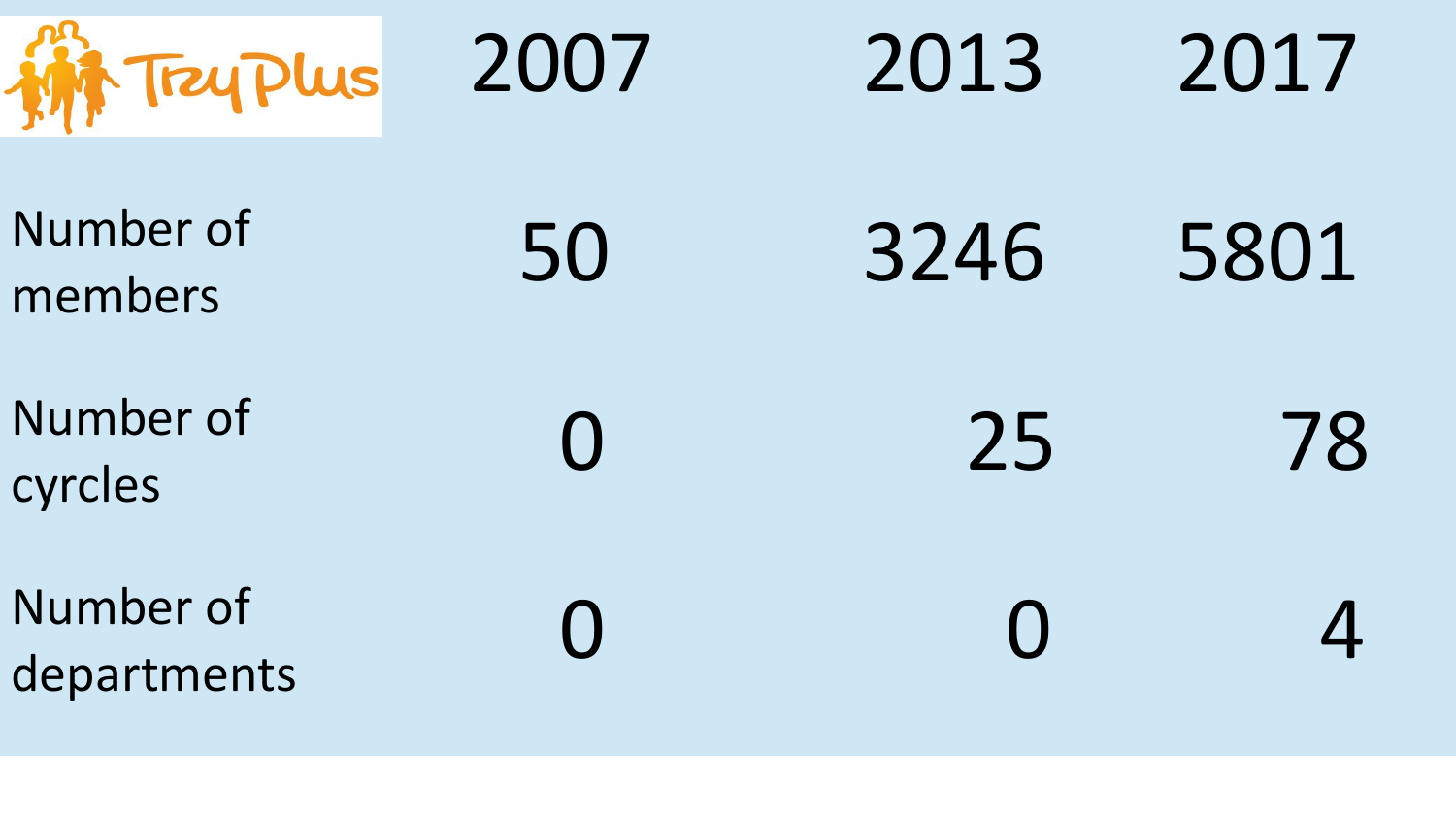| <b>M</b> Trey Plus       | 2007      | 2013 | 2017 |
|--------------------------|-----------|------|------|
| Number of<br>members     | 50        | 3246 | 5801 |
| Number of<br>cyrcles     | $\bigcap$ | 25   | 78   |
| Number of<br>departments |           |      |      |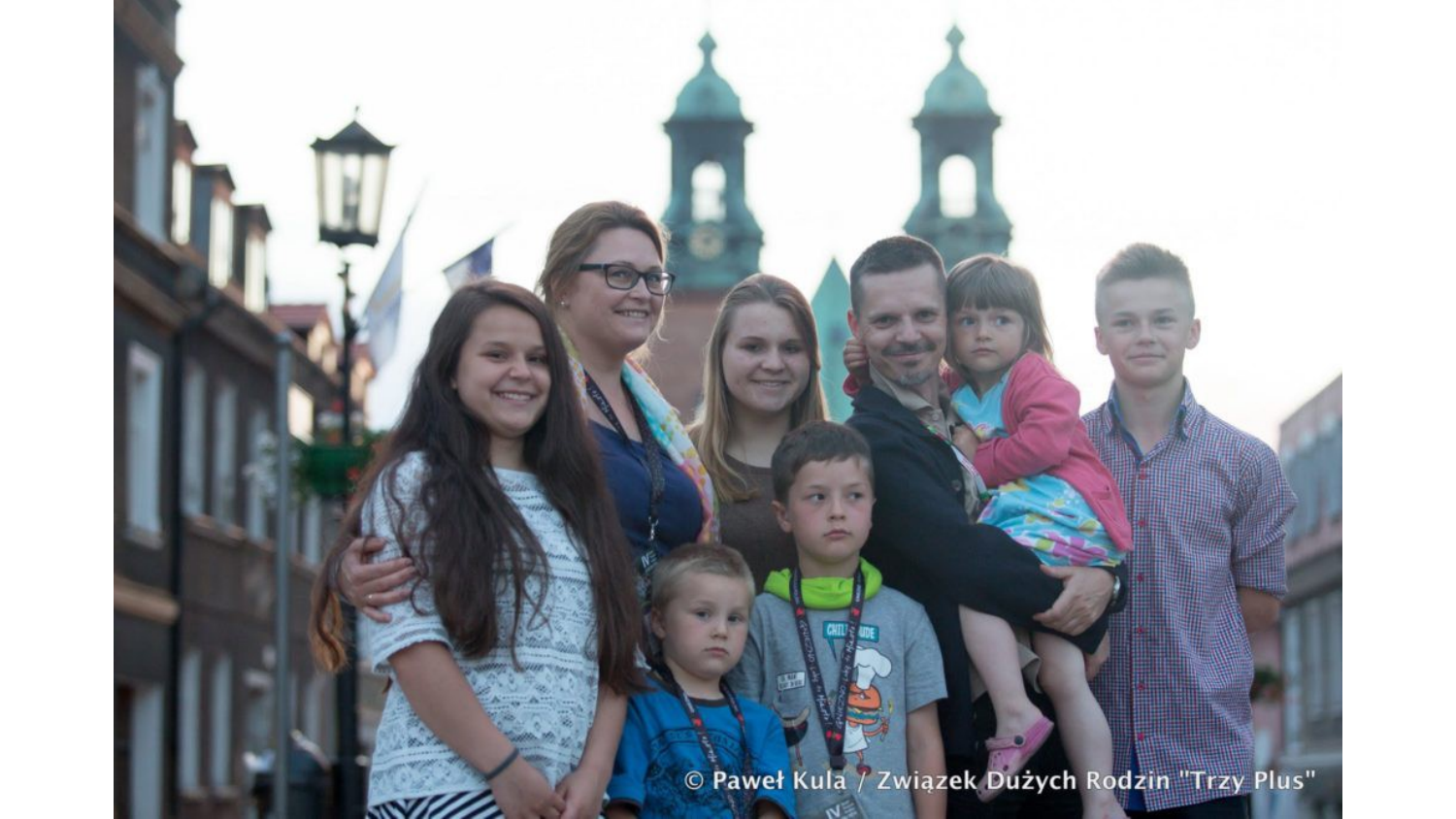© Paweł Kula / Związek Dużych Rodzin "Trzy Plus"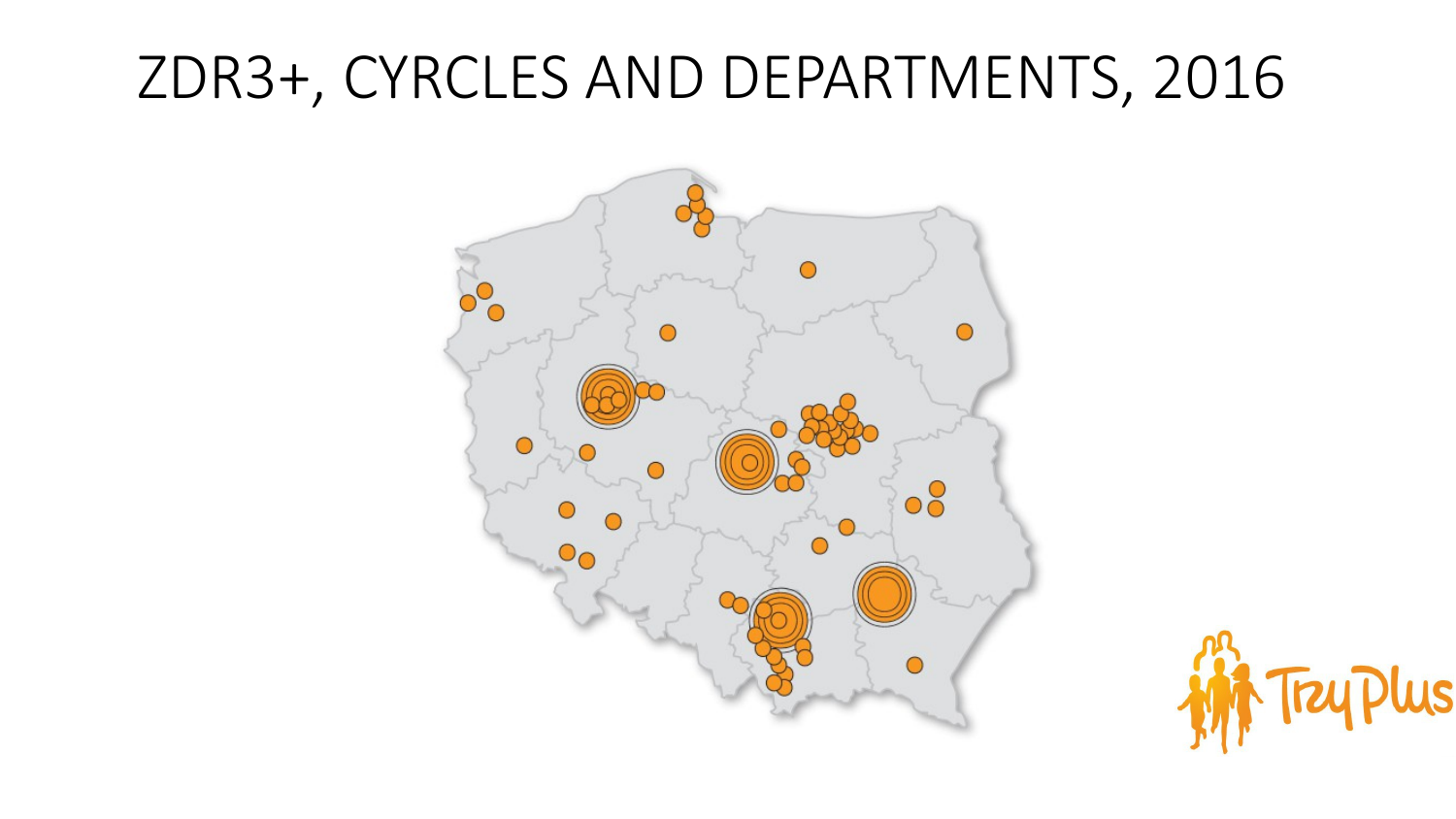## ZDR3+, CYRCLES AND DEPARTMENTS, 2016



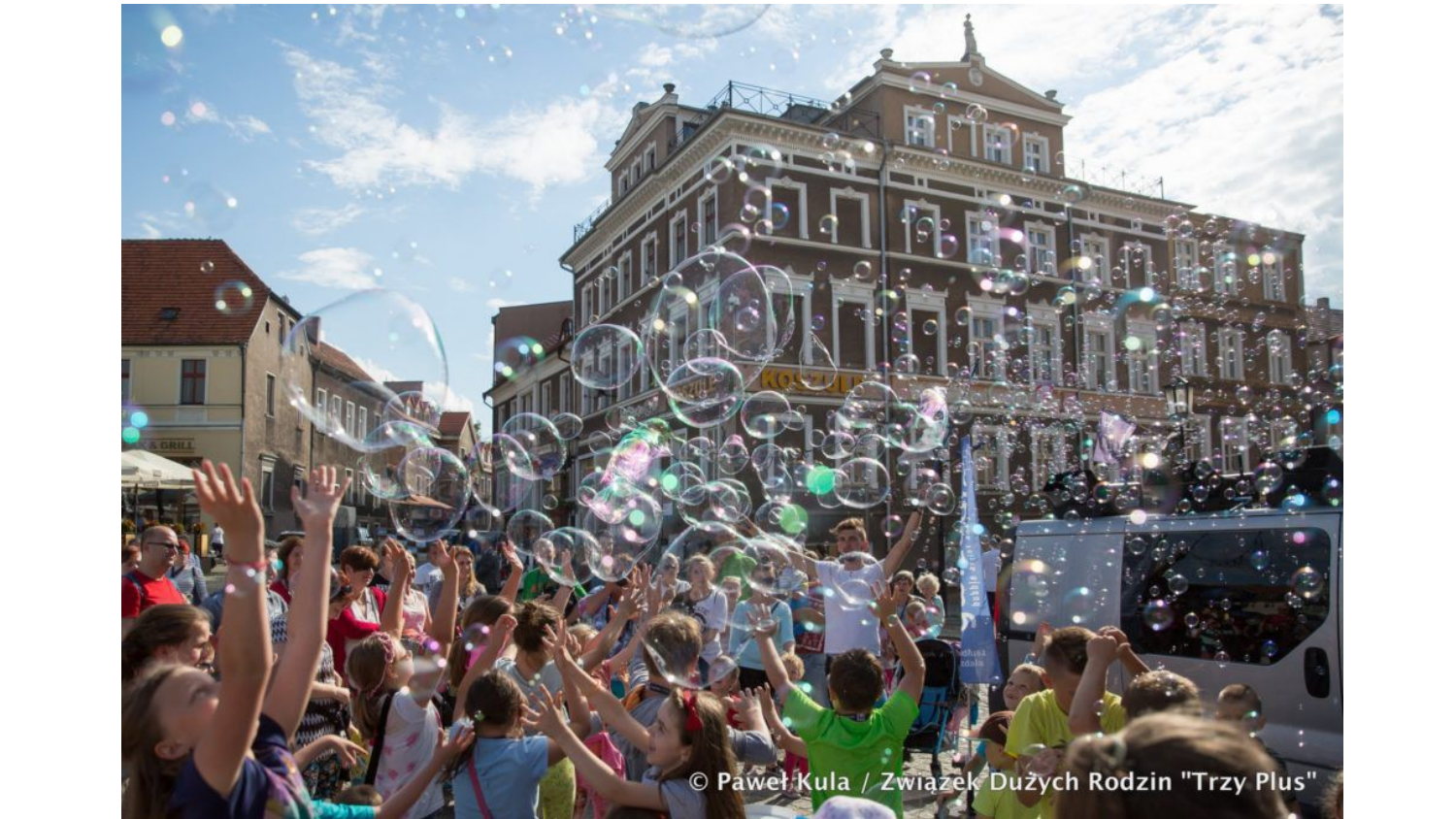© Paweł Kula / Związek Dużych Rodzin "Trzy Plus"

 $\ddot{\phantom{a}}$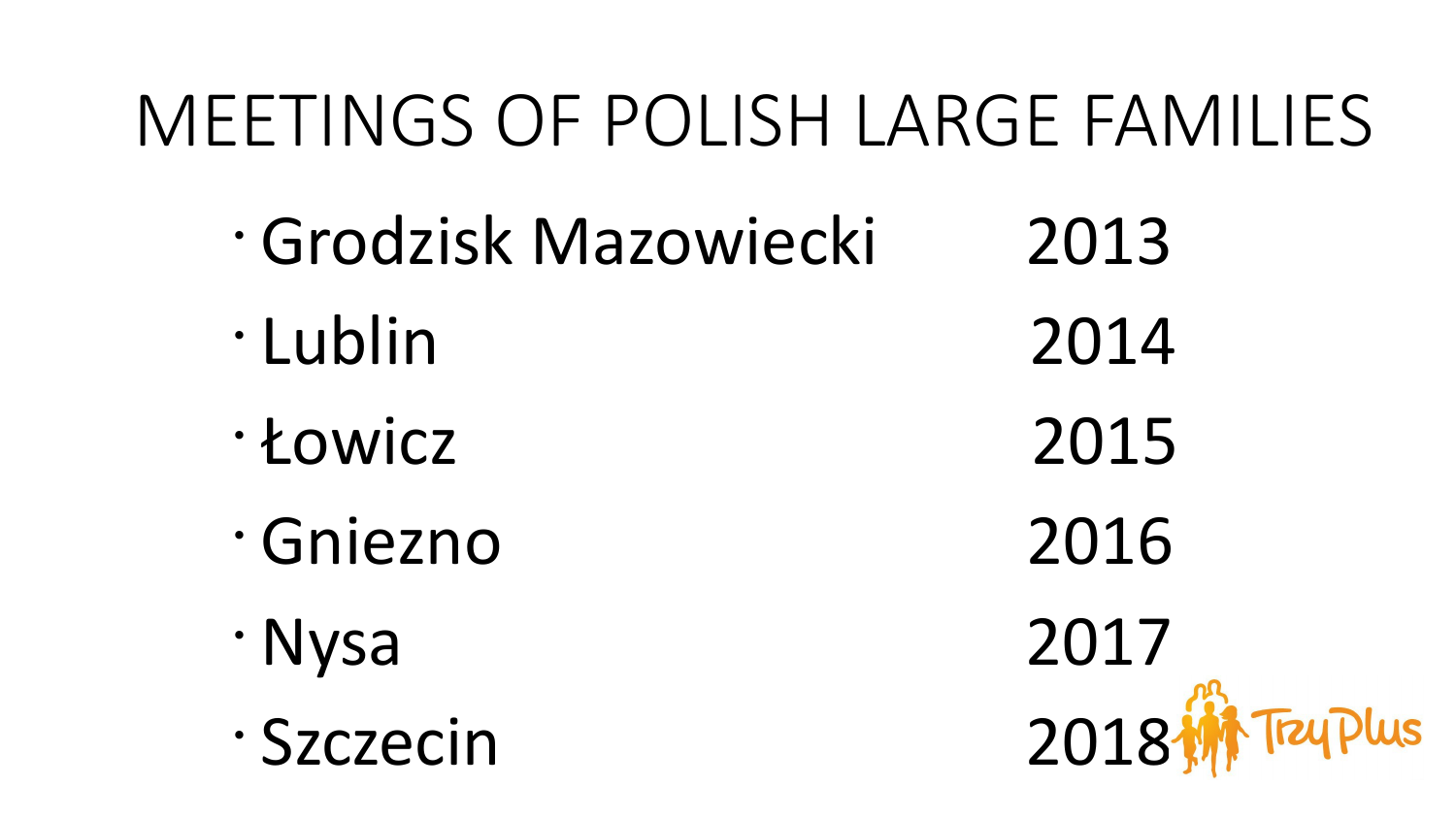# MEETINGS OF POLISH LARGE FAMILIES

- Grodzisk Mazowiecki 2013 • Lublin 2014
- Łowicz 2015
- Gniezno 2016
- 
- 

• Nysa 2017 • Szczecin 2018 **Tray Plus**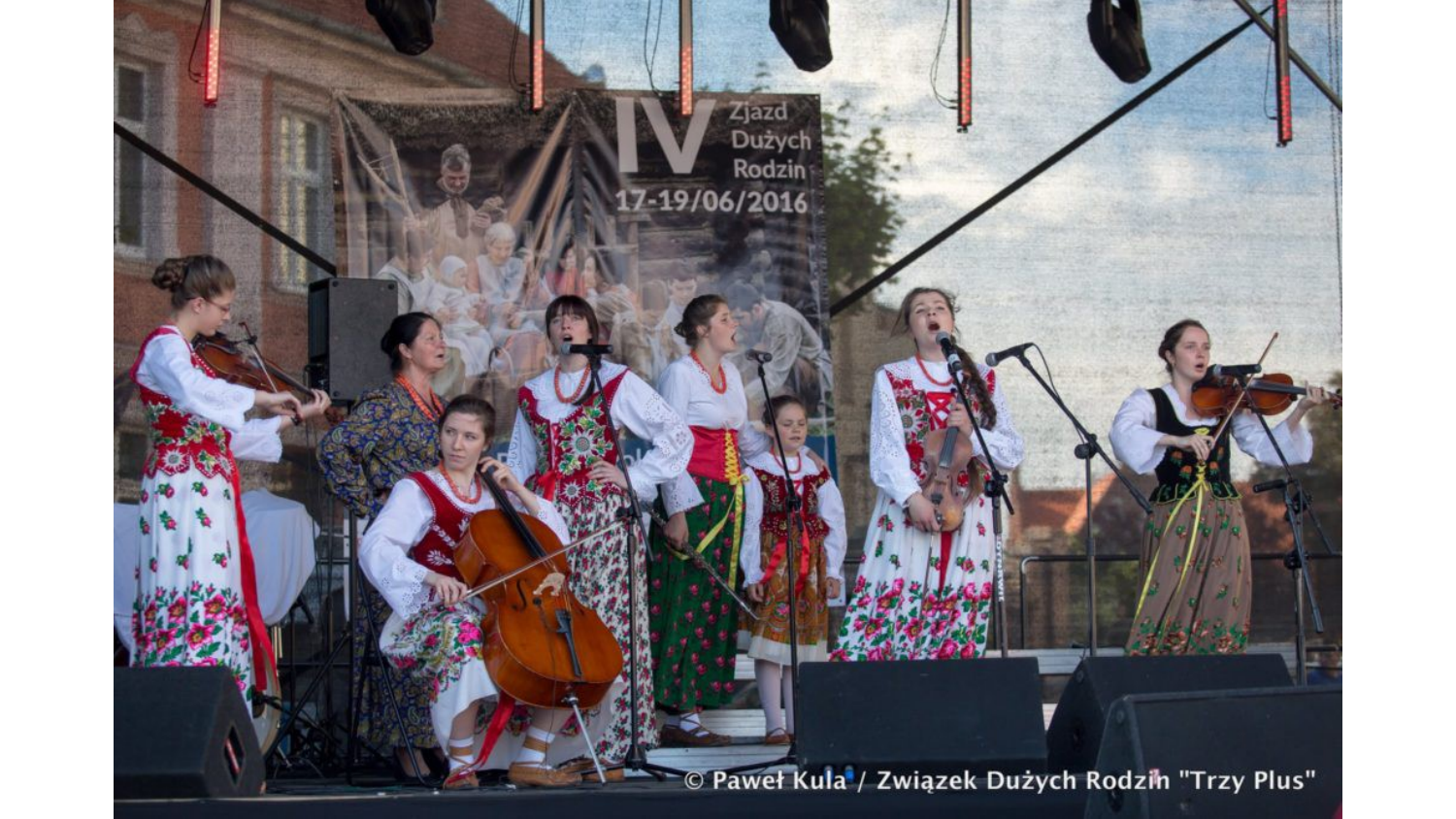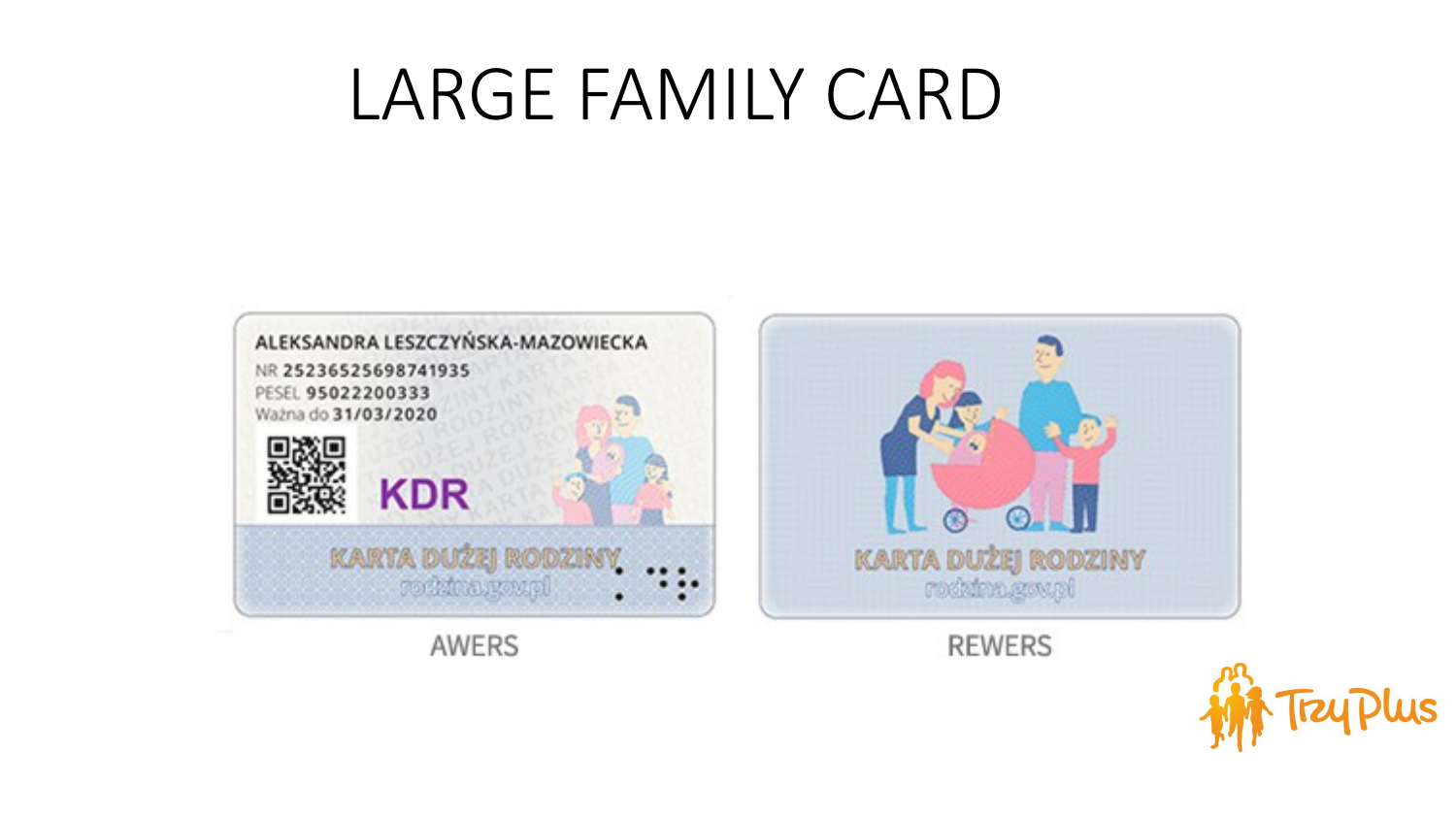# LARGE FAMILY CARD



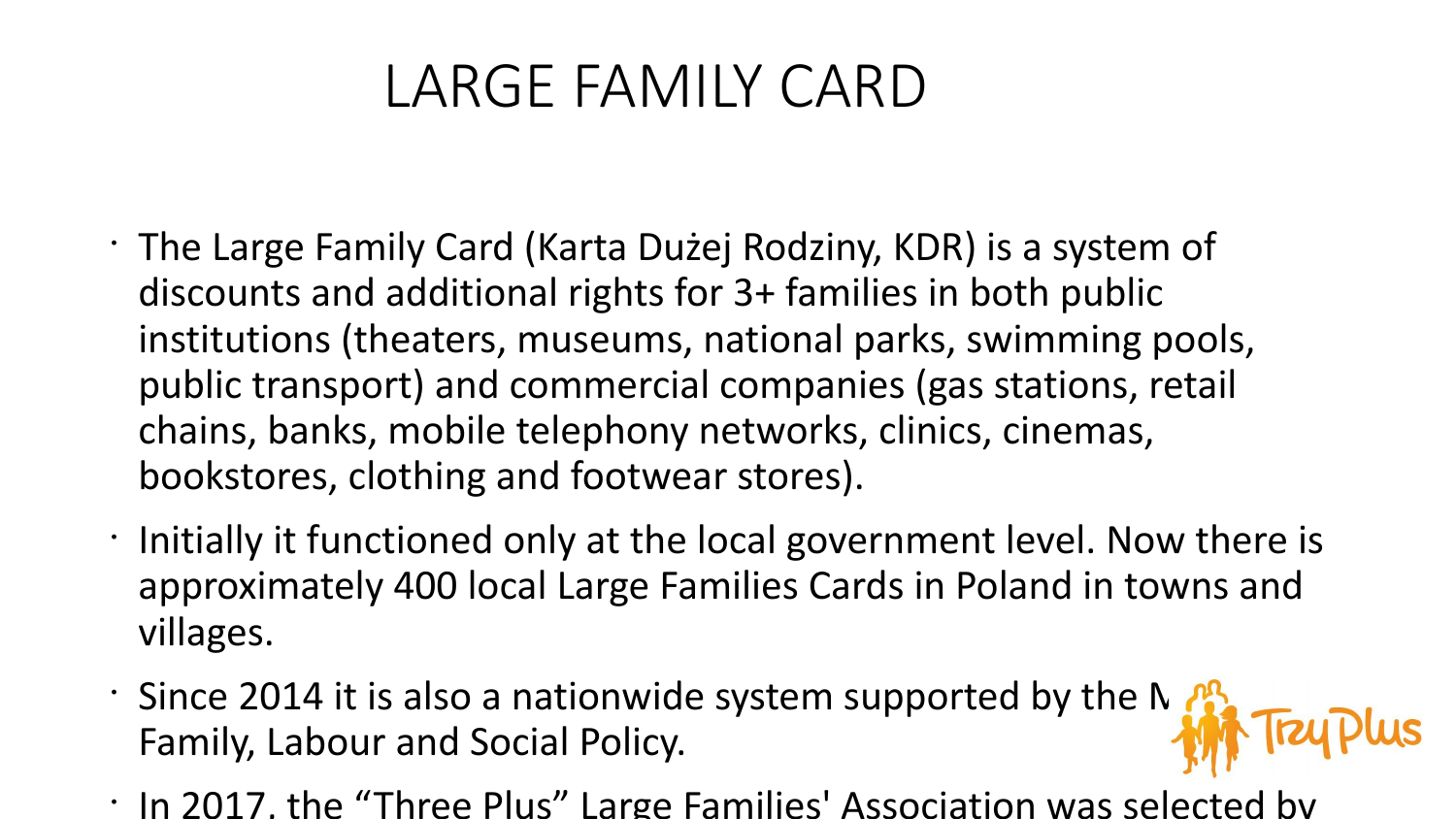### LARGE FAMILY CARD

- The Large Family Card (Karta Dużej Rodziny, KDR) is a system of discounts and additional rights for 3+ families in both public institutions (theaters, museums, national parks, swimming pools, public transport) and commercial companies (gas stations, retail chains, banks, mobile telephony networks, clinics, cinemas, bookstores, clothing and footwear stores).
- Initially it functioned only at the local government level. Now there is approximately 400 local Large Families Cards in Poland in towns and villages.
- Since 2014 it is also a nationwide system supported by the N  $\mathbb{A}_{\mathbb{C}}$ Family, Labour and Social Policy.
- In 2017, the "Three Plus" Large Families' Association was selected by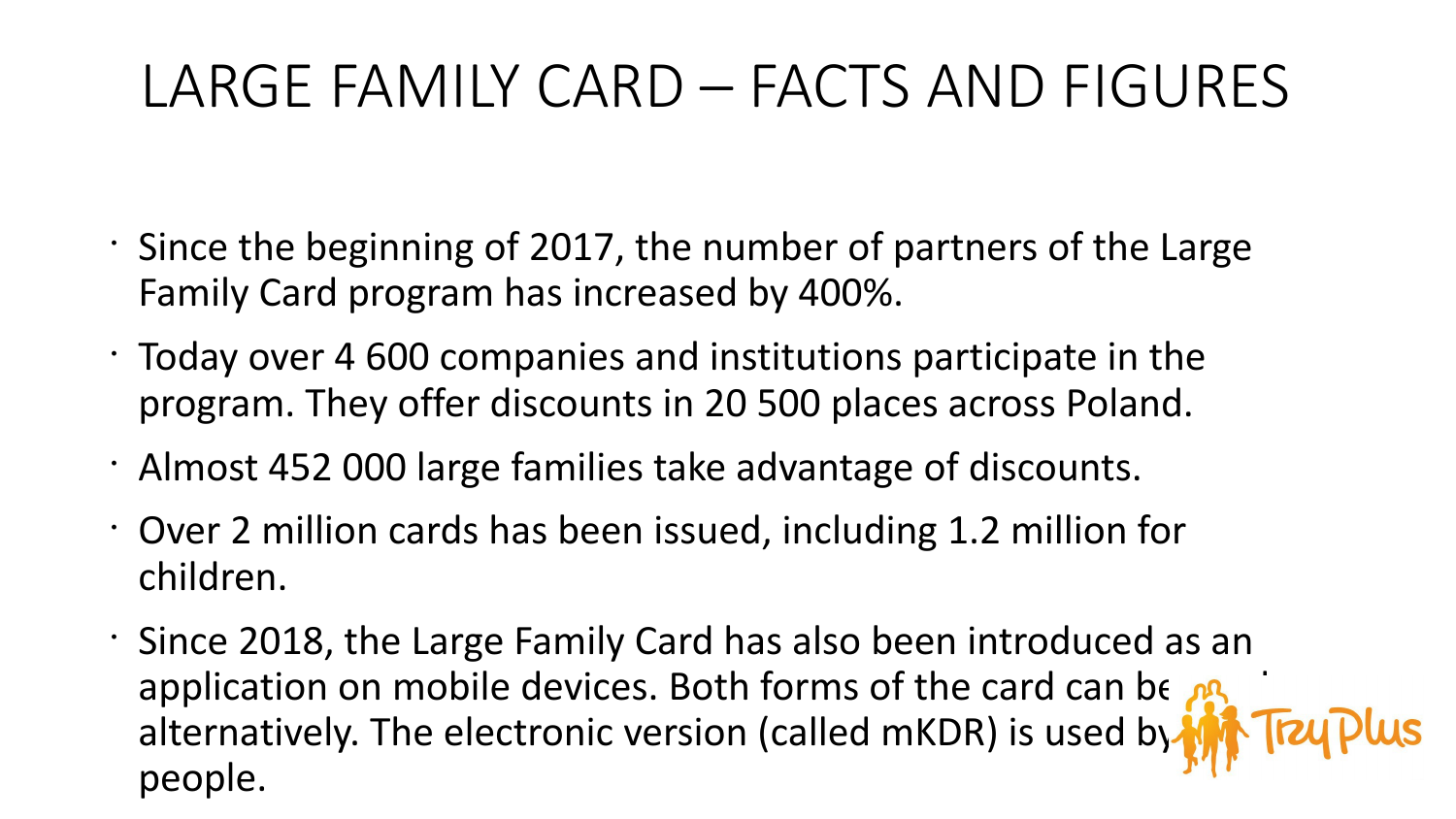# LARGE FAMILY CARD – FACTS AND FIGURES

- Since the beginning of 2017, the number of partners of the Large Family Card program has increased by 400%.
- Today over 4 600 companies and institutions participate in the program. They offer discounts in 20 500 places across Poland.
- Almost 452 000 large families take advantage of discounts.
- Over 2 million cards has been issued, including 1.2 million for children.
- Since 2018, the Large Family Card has also been introduced as an application on mobile devices. Both forms of the card can be  $\mathbb{R}$ alternatively. The electronic version (called mKDR) is used by people.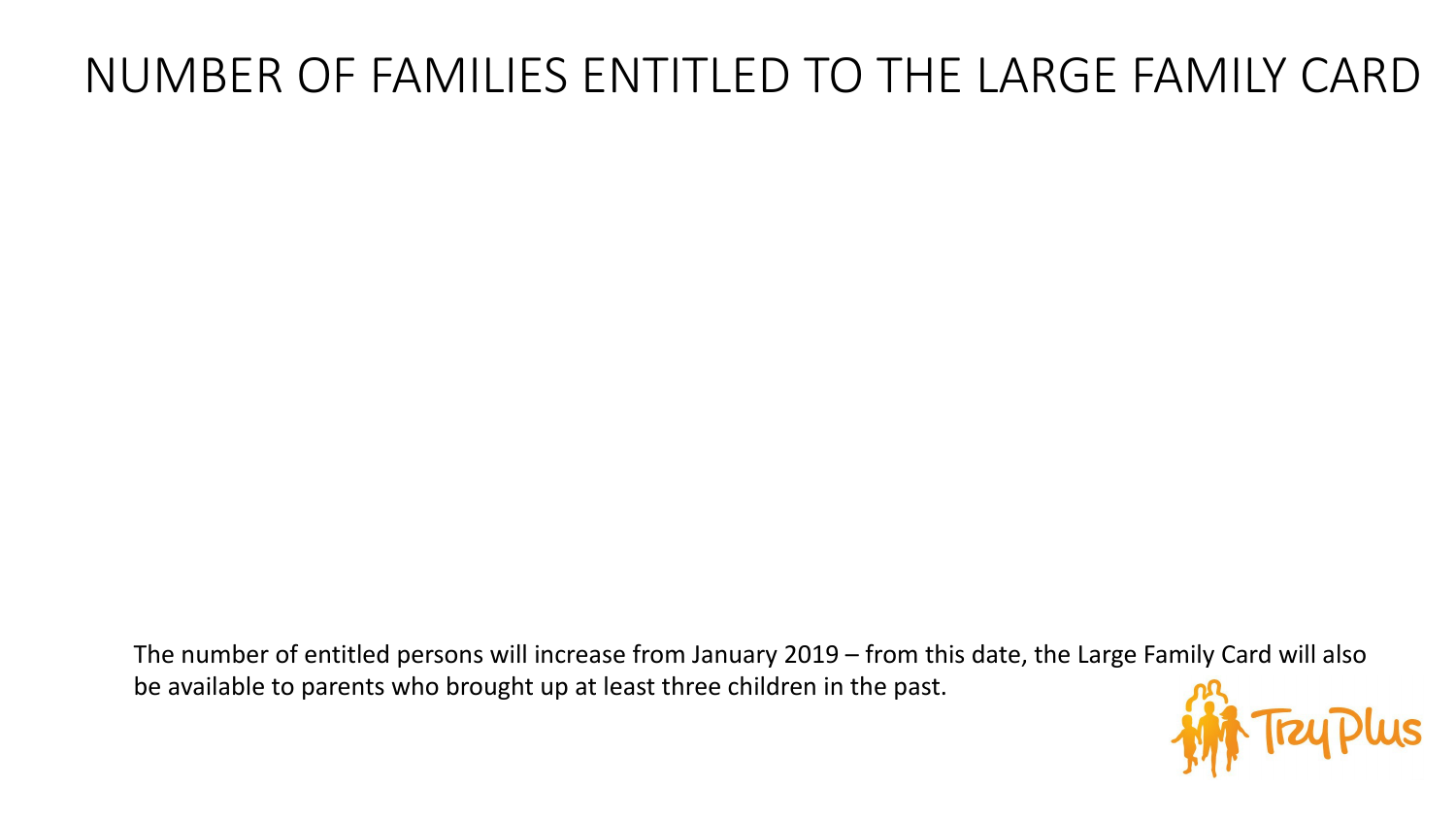#### NUMBER OF FAMILIES ENTITLED TO THE LARGE FAMILY CARD

The number of entitled persons will increase from January 2019 – from this date, the Large Family Card will also be available to parents who brought up at least three children in the past.

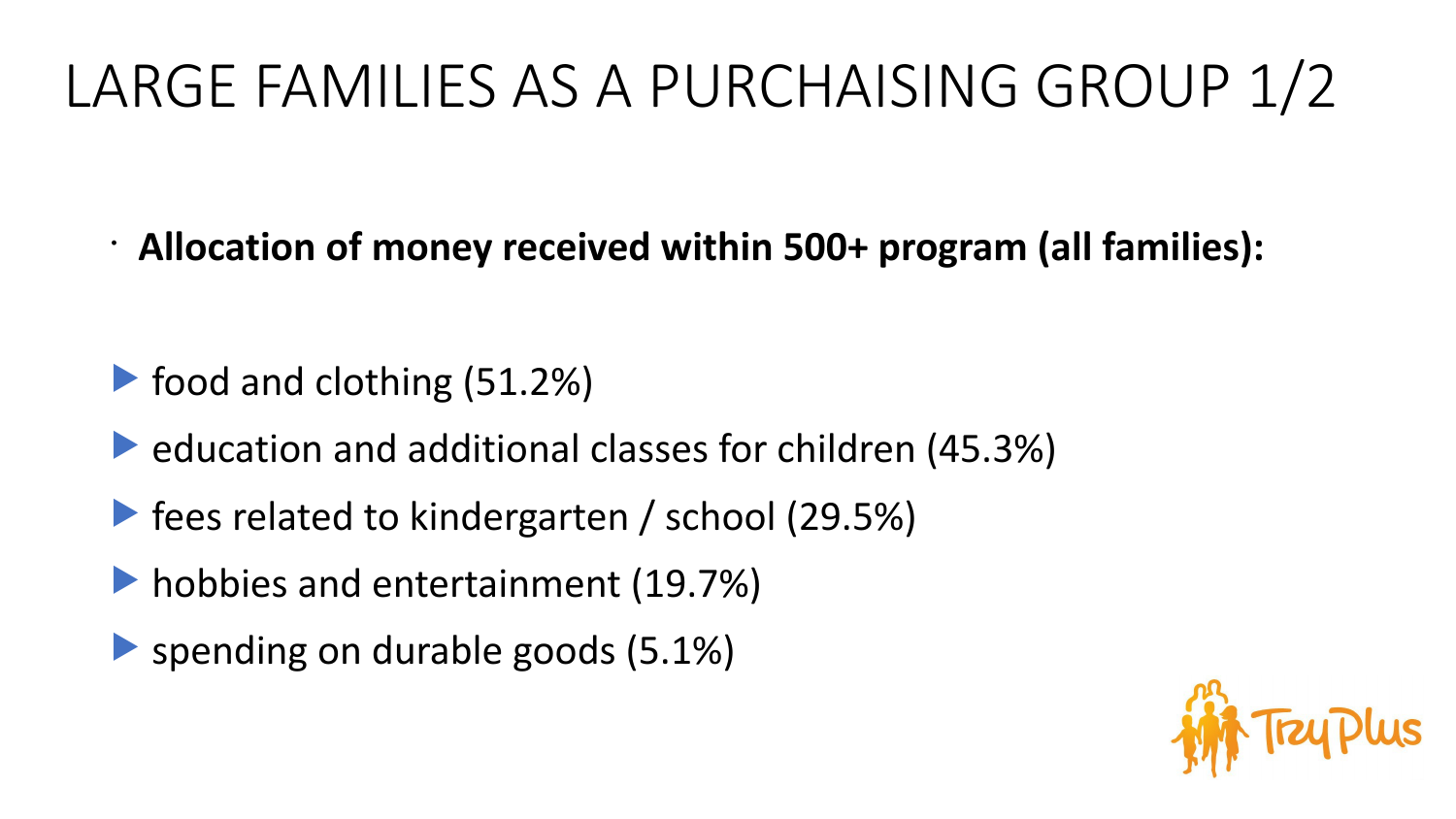# LARGE FAMILIES AS A PURCHAISING GROUP 1/2

• **Allocation of money received within 500+ program (all families):**

- **Food and clothing (51.2%)**
- **Example 2 Feducation and additional classes for children (45.3%)**
- **Figure 1** fees related to kindergarten / school (29.5%)
- hobbies and entertainment (19.7%)
- **Spending on durable goods (5.1%)**

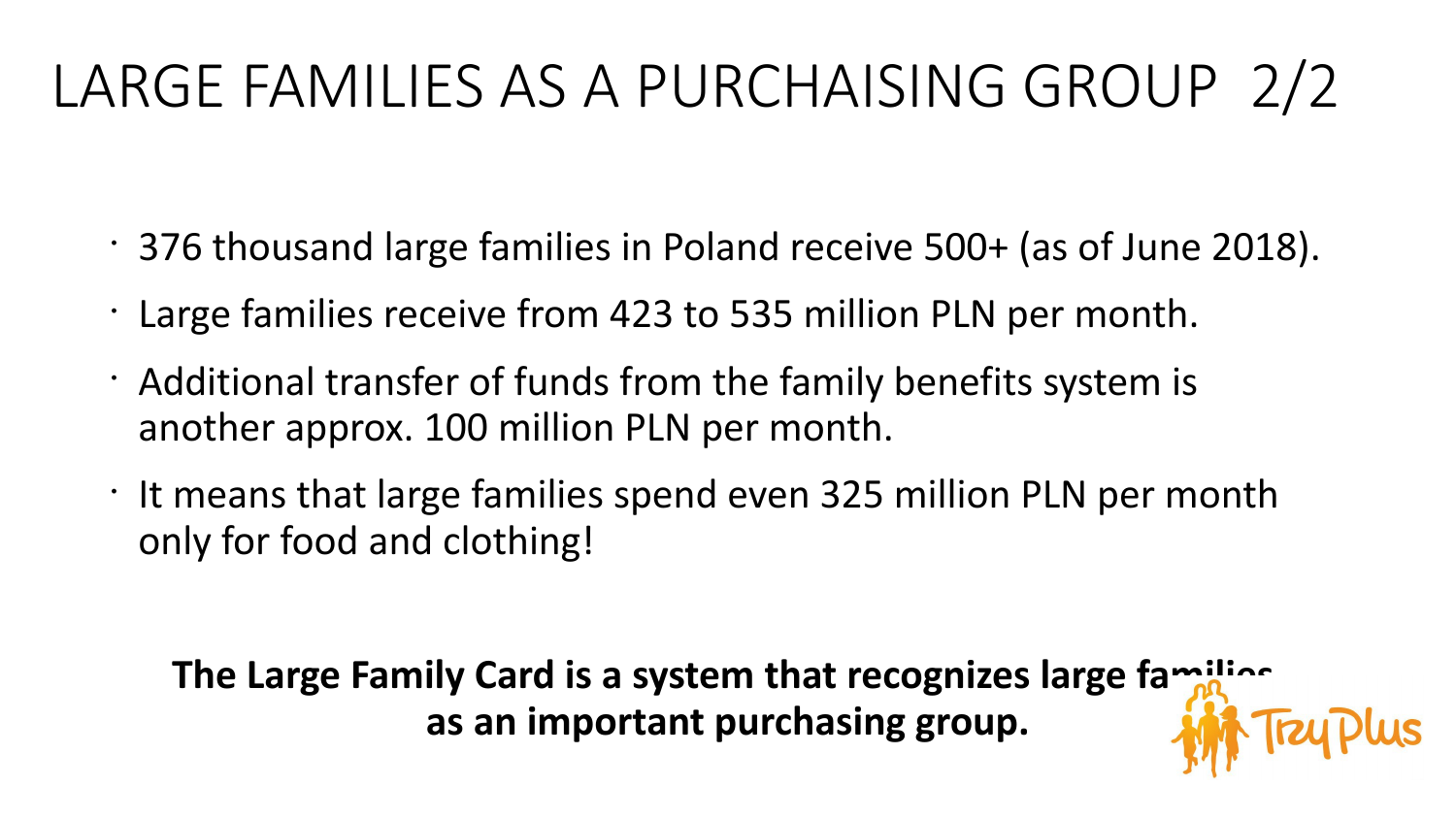# LARGE FAMILIES AS A PURCHAISING GROUP 2/2

- 376 thousand large families in Poland receive 500+ (as of June 2018).
- Large families receive from 423 to 535 million PLN per month.
- Additional transfer of funds from the family benefits system is another approx. 100 million PLN per month.
- It means that large families spend even 325 million PLN per month only for food and clothing!

**The Large Family Card is a system that recognizes large families as an important purchasing group.**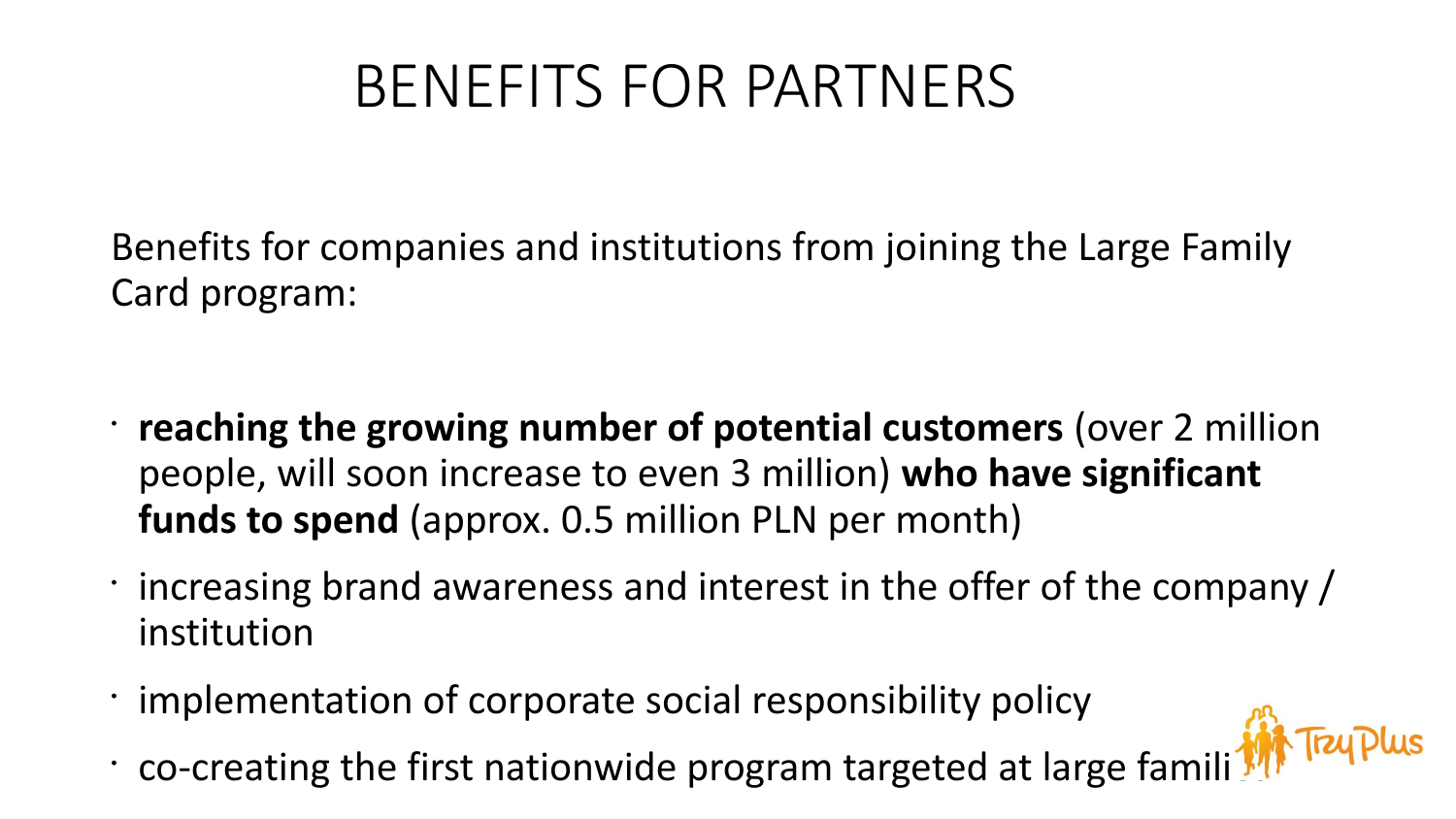# BENEFITS FOR PARTNERS

Benefits for companies and institutions from joining the Large Family Card program:

- **reaching the growing number of potential customers** (over 2 million people, will soon increase to even 3 million) **who have significant funds to spend** (approx. 0.5 million PLN per month)
- increasing brand awareness and interest in the offer of the company / institution
- implementation of corporate social responsibility policy
- co-creating the first nationwide program targeted at large famili  $\frac{1}{2}$  Truplus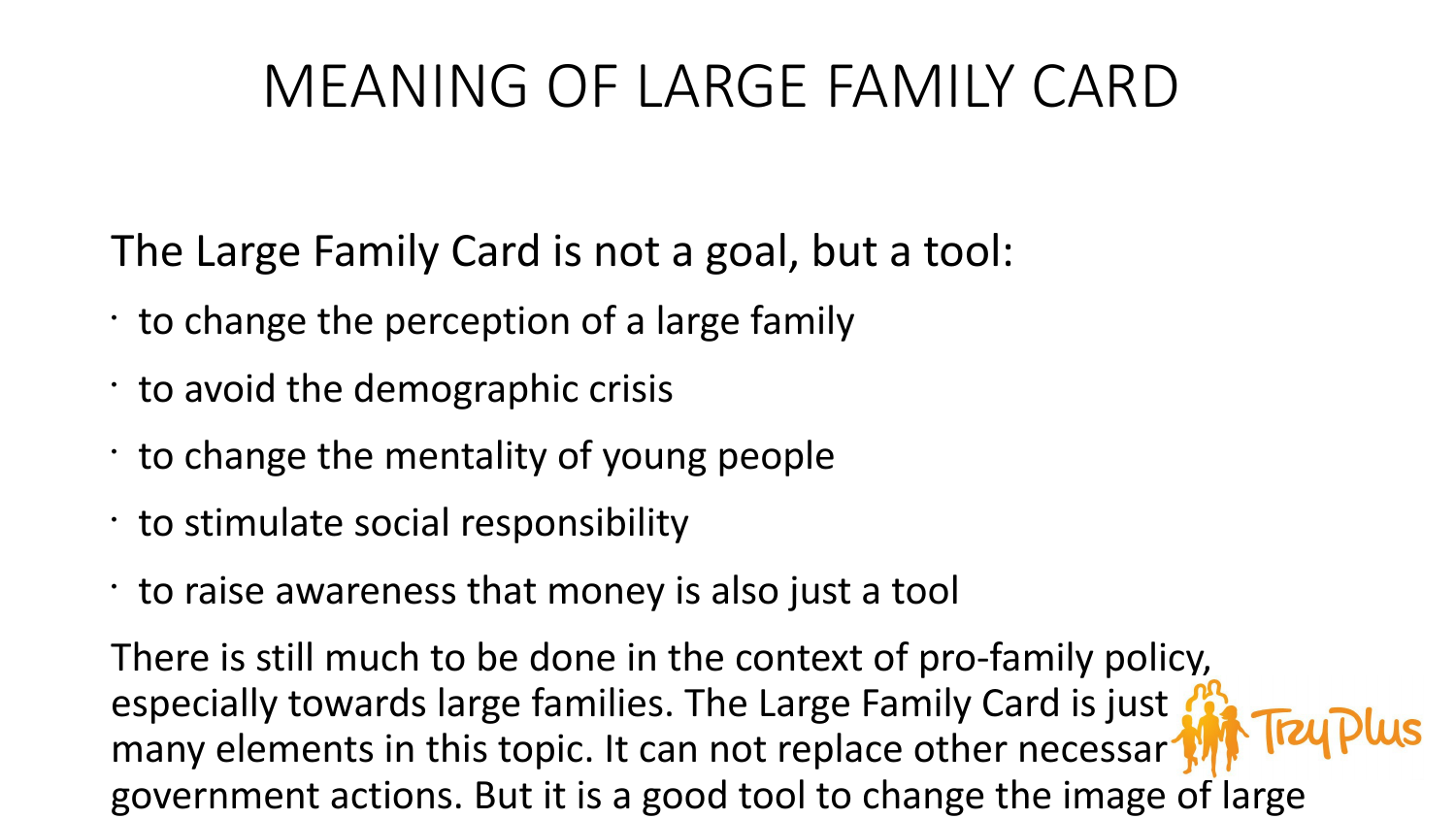## MEANING OF LARGE FAMILY CARD

The Large Family Card is not a goal, but a tool:

- $\cdot$  to change the perception of a large family
- to avoid the demographic crisis
- $\cdot$  to change the mentality of young people
- to stimulate social responsibility
- to raise awareness that money is also just a tool

There is still much to be done in the context of pro-family policy, especially towards large families. The Large Family Card is just the Truplus many elements in this topic. It can not replace other necessar<sup>1</sup> government actions. But it is a good tool to change the image of large